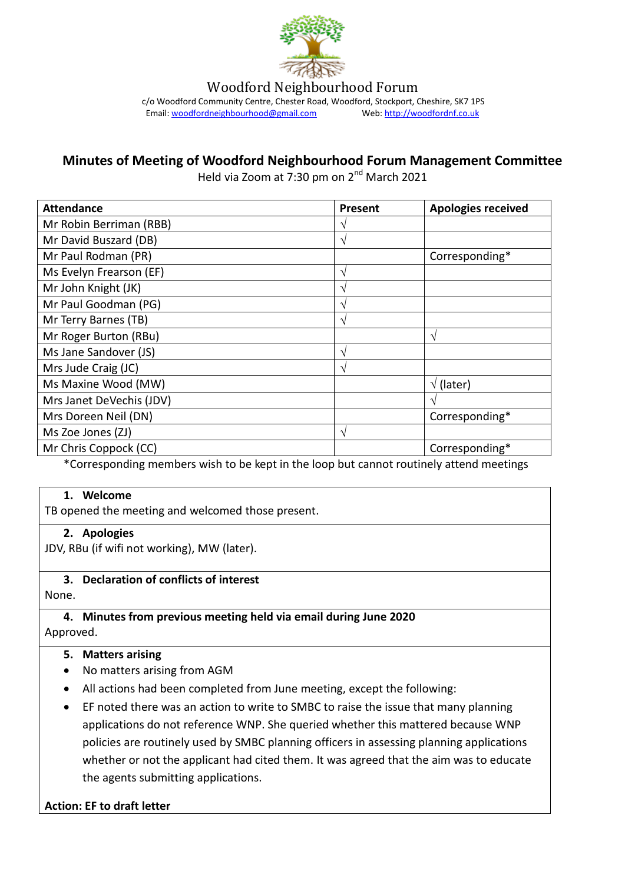

Woodford Neighbourhood Forum

c/o Woodford Community Centre, Chester Road, Woodford, Stockport, Cheshire, SK7 1PS Email[: woodfordneighbourhood@gmail.com](mailto:woodfordneighbourhood@gmail.com) Web[: http://woodfordnf.co.uk](http://woodfordnf.co.uk/)

# **Minutes of Meeting of Woodford Neighbourhood Forum Management Committee**

Held via Zoom at 7:30 pm on 2<sup>nd</sup> March 2021

| <b>Attendance</b>        | <b>Present</b> | <b>Apologies received</b> |
|--------------------------|----------------|---------------------------|
| Mr Robin Berriman (RBB)  | $\mathcal{L}$  |                           |
| Mr David Buszard (DB)    | V              |                           |
| Mr Paul Rodman (PR)      |                | Corresponding*            |
| Ms Evelyn Frearson (EF)  | ٦              |                           |
| Mr John Knight (JK)      | ٦              |                           |
| Mr Paul Goodman (PG)     | ٦              |                           |
| Mr Terry Barnes (TB)     | $\mathcal{N}$  |                           |
| Mr Roger Burton (RBu)    |                | $\gamma$                  |
| Ms Jane Sandover (JS)    | V              |                           |
| Mrs Jude Craig (JC)      | V              |                           |
| Ms Maxine Wood (MW)      |                | (later)<br>$\sqrt{ }$     |
| Mrs Janet DeVechis (JDV) |                | ٦                         |
| Mrs Doreen Neil (DN)     |                | Corresponding*            |
| Ms Zoe Jones (ZJ)        | V              |                           |
| Mr Chris Coppock (CC)    |                | Corresponding*            |

\*Corresponding members wish to be kept in the loop but cannot routinely attend meetings

#### **1. Welcome**

TB opened the meeting and welcomed those present.

#### **2. Apologies**

JDV, RBu (if wifi not working), MW (later).

#### **3. Declaration of conflicts of interest**

None.

#### **4. Minutes from previous meeting held via email during June 2020** Approved.

#### **5. Matters arising**

- No matters arising from AGM
- All actions had been completed from June meeting, except the following:
- EF noted there was an action to write to SMBC to raise the issue that many planning applications do not reference WNP. She queried whether this mattered because WNP policies are routinely used by SMBC planning officers in assessing planning applications whether or not the applicant had cited them. It was agreed that the aim was to educate the agents submitting applications.

#### **Action: EF to draft letter**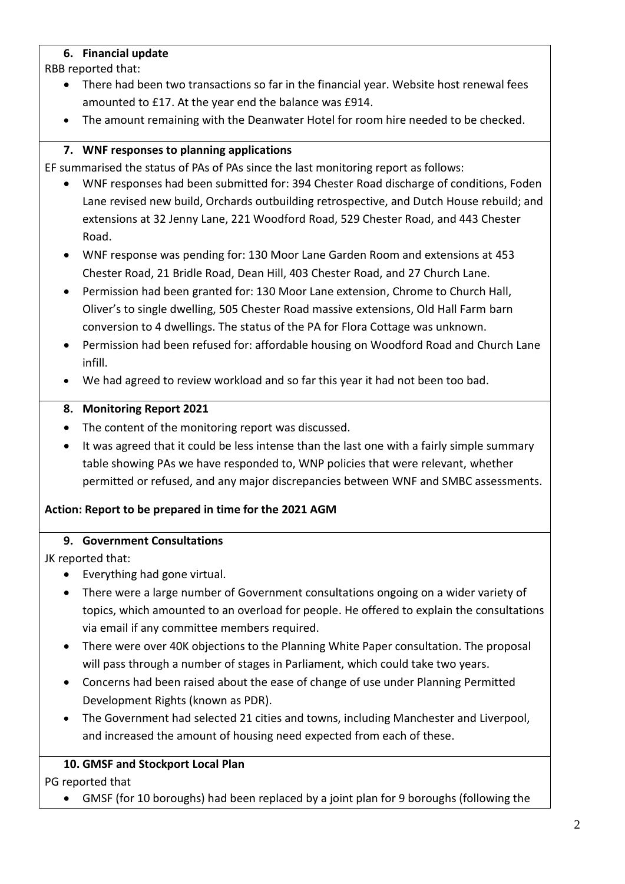### **6. Financial update**

RBB reported that:

- There had been two transactions so far in the financial year. Website host renewal fees amounted to £17. At the year end the balance was £914.
- The amount remaining with the Deanwater Hotel for room hire needed to be checked.

# **7. WNF responses to planning applications**

EF summarised the status of PAs of PAs since the last monitoring report as follows:

- WNF responses had been submitted for: 394 Chester Road discharge of conditions, Foden Lane revised new build, Orchards outbuilding retrospective, and Dutch House rebuild; and extensions at 32 Jenny Lane, 221 Woodford Road, 529 Chester Road, and 443 Chester Road.
- WNF response was pending for: 130 Moor Lane Garden Room and extensions at 453 Chester Road, 21 Bridle Road, Dean Hill, 403 Chester Road, and 27 Church Lane.
- Permission had been granted for: 130 Moor Lane extension, Chrome to Church Hall, Oliver's to single dwelling, 505 Chester Road massive extensions, Old Hall Farm barn conversion to 4 dwellings. The status of the PA for Flora Cottage was unknown.
- Permission had been refused for: affordable housing on Woodford Road and Church Lane infill.
- We had agreed to review workload and so far this year it had not been too bad.

### **8. Monitoring Report 2021**

- The content of the monitoring report was discussed.
- It was agreed that it could be less intense than the last one with a fairly simple summary table showing PAs we have responded to, WNP policies that were relevant, whether permitted or refused, and any major discrepancies between WNF and SMBC assessments.

### **Action: Report to be prepared in time for the 2021 AGM**

### **9. Government Consultations**

JK reported that:

- Everything had gone virtual.
- There were a large number of Government consultations ongoing on a wider variety of topics, which amounted to an overload for people. He offered to explain the consultations via email if any committee members required.
- There were over 40K objections to the Planning White Paper consultation. The proposal will pass through a number of stages in Parliament, which could take two years.
- Concerns had been raised about the ease of change of use under Planning Permitted Development Rights (known as PDR).
- The Government had selected 21 cities and towns, including Manchester and Liverpool, and increased the amount of housing need expected from each of these.

### **10. GMSF and Stockport Local Plan**

PG reported that

GMSF (for 10 boroughs) had been replaced by a joint plan for 9 boroughs (following the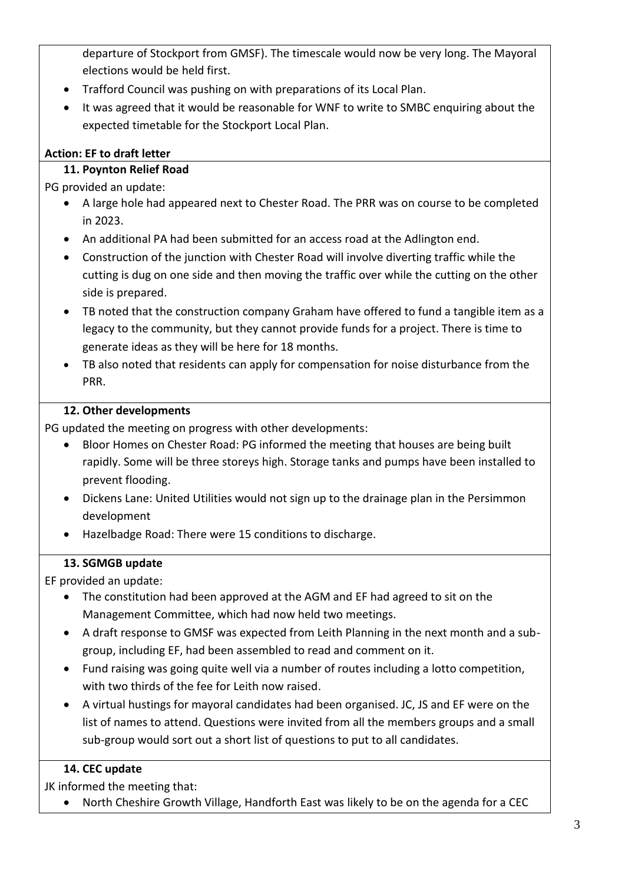departure of Stockport from GMSF). The timescale would now be very long. The Mayoral elections would be held first.

- Trafford Council was pushing on with preparations of its Local Plan.
- It was agreed that it would be reasonable for WNF to write to SMBC enquiring about the expected timetable for the Stockport Local Plan.

# **Action: EF to draft letter**

# **11. Poynton Relief Road**

PG provided an update:

- A large hole had appeared next to Chester Road. The PRR was on course to be completed in 2023.
- An additional PA had been submitted for an access road at the Adlington end.
- Construction of the junction with Chester Road will involve diverting traffic while the cutting is dug on one side and then moving the traffic over while the cutting on the other side is prepared.
- TB noted that the construction company Graham have offered to fund a tangible item as a legacy to the community, but they cannot provide funds for a project. There is time to generate ideas as they will be here for 18 months.
- TB also noted that residents can apply for compensation for noise disturbance from the PRR.

# **12. Other developments**

PG updated the meeting on progress with other developments:

- Bloor Homes on Chester Road: PG informed the meeting that houses are being built rapidly. Some will be three storeys high. Storage tanks and pumps have been installed to prevent flooding.
- Dickens Lane: United Utilities would not sign up to the drainage plan in the Persimmon development
- Hazelbadge Road: There were 15 conditions to discharge.

# **13. SGMGB update**

EF provided an update:

- The constitution had been approved at the AGM and EF had agreed to sit on the Management Committee, which had now held two meetings.
- A draft response to GMSF was expected from Leith Planning in the next month and a subgroup, including EF, had been assembled to read and comment on it.
- Fund raising was going quite well via a number of routes including a lotto competition, with two thirds of the fee for Leith now raised.
- A virtual hustings for mayoral candidates had been organised. JC, JS and EF were on the list of names to attend. Questions were invited from all the members groups and a small sub-group would sort out a short list of questions to put to all candidates.

### **14. CEC update**

JK informed the meeting that:

North Cheshire Growth Village, Handforth East was likely to be on the agenda for a CEC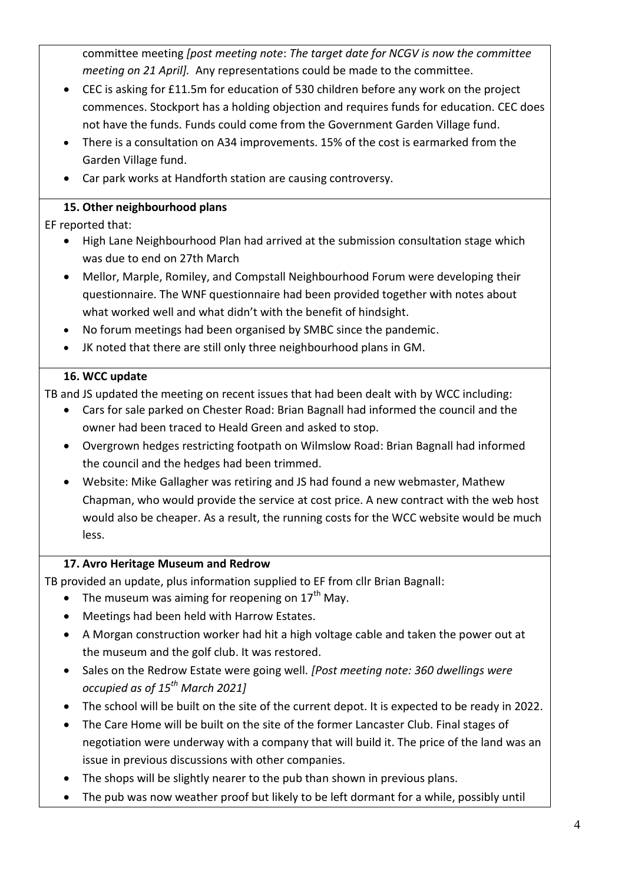committee meeting *[post meeting note*: *The target date for NCGV is now the committee meeting on 21 April].* Any representations could be made to the committee.

- CEC is asking for £11.5m for education of 530 children before any work on the project commences. Stockport has a holding objection and requires funds for education. CEC does not have the funds. Funds could come from the Government Garden Village fund.
- There is a consultation on A34 improvements. 15% of the cost is earmarked from the Garden Village fund.
- Car park works at Handforth station are causing controversy.

# **15. Other neighbourhood plans**

EF reported that:

- High Lane Neighbourhood Plan had arrived at the submission consultation stage which was due to end on 27th March
- Mellor, Marple, Romiley, and Compstall Neighbourhood Forum were developing their questionnaire. The WNF questionnaire had been provided together with notes about what worked well and what didn't with the benefit of hindsight.
- No forum meetings had been organised by SMBC since the pandemic.
- JK noted that there are still only three neighbourhood plans in GM.

# **16. WCC update**

TB and JS updated the meeting on recent issues that had been dealt with by WCC including:

- Cars for sale parked on Chester Road: Brian Bagnall had informed the council and the owner had been traced to Heald Green and asked to stop.
- Overgrown hedges restricting footpath on Wilmslow Road: Brian Bagnall had informed the council and the hedges had been trimmed.
- Website: Mike Gallagher was retiring and JS had found a new webmaster, Mathew Chapman, who would provide the service at cost price. A new contract with the web host would also be cheaper. As a result, the running costs for the WCC website would be much less.

# **17. Avro Heritage Museum and Redrow**

TB provided an update, plus information supplied to EF from cllr Brian Bagnall:

- The museum was aiming for reopening on  $17<sup>th</sup>$  May.
- Meetings had been held with Harrow Estates.
- A Morgan construction worker had hit a high voltage cable and taken the power out at the museum and the golf club. It was restored.
- Sales on the Redrow Estate were going well. *[Post meeting note: 360 dwellings were occupied as of 15th March 2021]*
- The school will be built on the site of the current depot. It is expected to be ready in 2022.
- The Care Home will be built on the site of the former Lancaster Club. Final stages of negotiation were underway with a company that will build it. The price of the land was an issue in previous discussions with other companies.
- The shops will be slightly nearer to the pub than shown in previous plans.
- The pub was now weather proof but likely to be left dormant for a while, possibly until